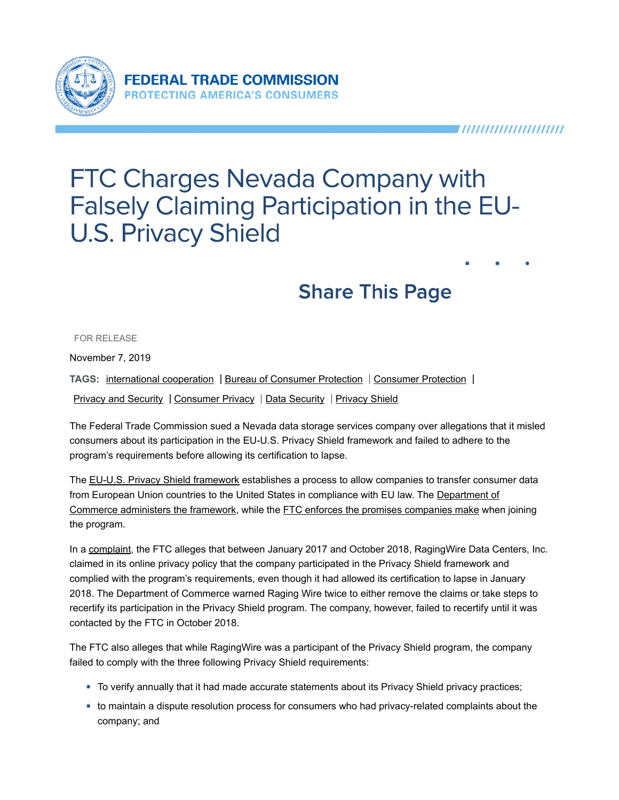

# **FTC Charges Nevada Company with Falsely Claiming Participation in the EU-U.S. Privacy Shield**

## **Share This Page**

FOR RELEASE

November 7, 2019

TAGS: international cooperation | Bureau of Consumer Protection | Consumer Protection

Privacy and Security | Consumer Privacy | Data Security | Privacy Shield

The Federal Trade Commission sued a Nevada data storage services company over allegations that it misled consumers about its participation in the EU-U.S. Privacy Shield framework and failed to adhere to the program's requirements before allowing its certification to lapse.

The EU-U.S. Privacy Shield framework establishes a process to allow companies to transfer consumer data from European Union countries to the United States in compliance with EU law. The Department of Commerce administers the framework, while the FTC enforces the promises companies make when joining the program.

In a complaint, the FTC alleges that between January 2017 and October 2018, RagingWire Data Centers, Inc. claimed in its online privacy policy that the company participated in the Privacy Shield framework and complied with the program's requirements, even though it had allowed its certification to lapse in January 2018. The Department of Commerce warned Raging Wire twice to either remove the claims or take steps to recertify its participation in the Privacy Shield program. The company, however, failed to recertify until it was contacted by the FTC in October 2018.

The FTC also alleges that while RagingWire was a participant of the Privacy Shield program, the company failed to comply with the three following Privacy Shield requirements:

- To verify annually that it had made accurate statements about its Privacy Shield privacy practices;
- to maintain a dispute resolution process for consumers who had privacy-related complaints about the company; and